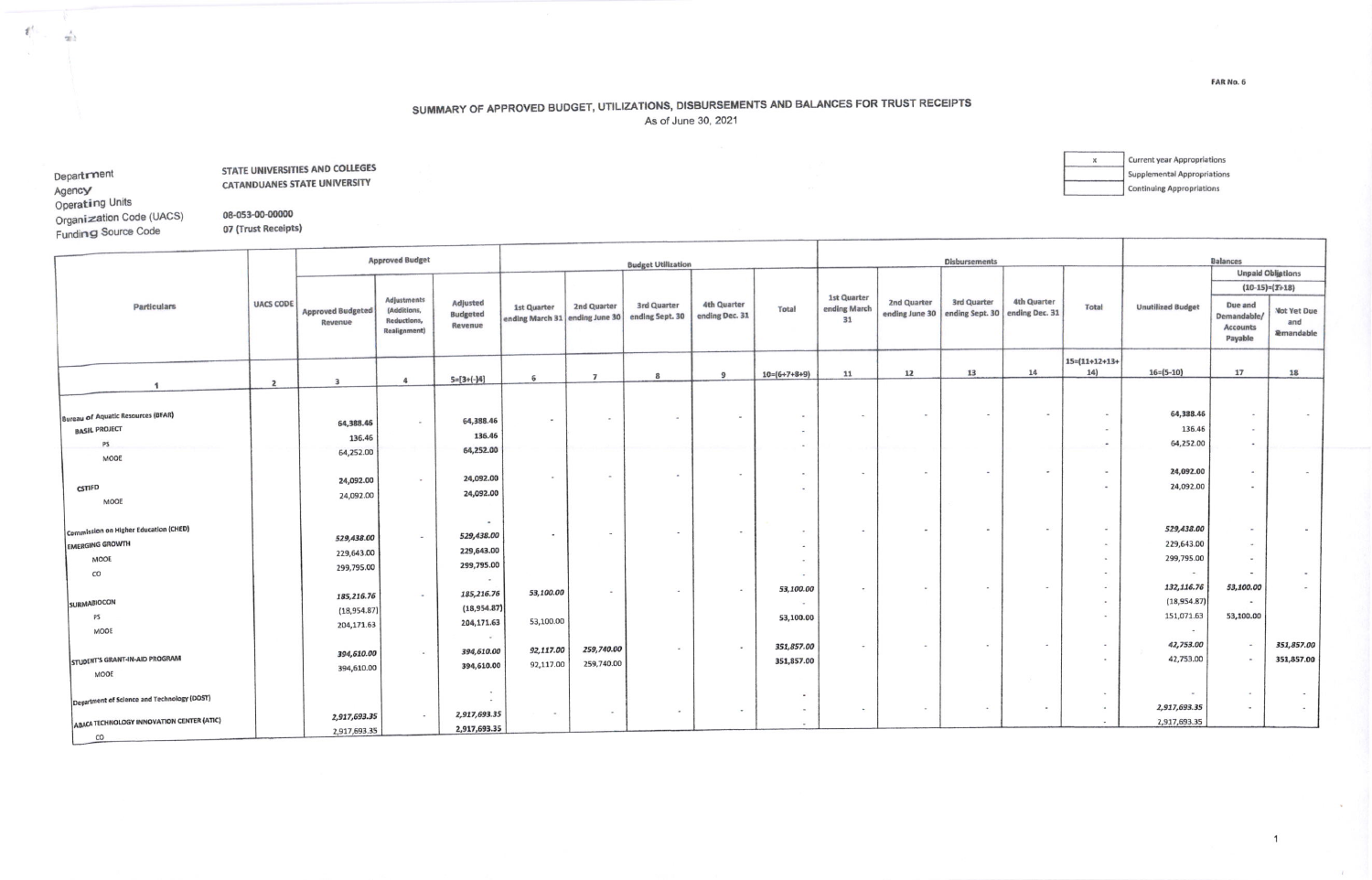## SUMMARY OF APPROVED BUDGET, UTILIZATIONS, DISBURSEMENTS AND BALANCES FOR TRUST RECEIPTS

As of June 30, 2021

Department Agency Operating Units Organization Code (UACS) Funding Source Code

 $CO$ 

 $\mathcal{E}^{\prime}$ 

 $\frac{1}{2}$ 

STATE UNIVERSITIES AND COLLEGES **CATANDUANES STATE UNIVERSITY** 

08-053-00-00000

07 (Trust Receipts)

Current year Appropriations  $\boldsymbol{\times}$ **Supplemental Appropriations Continuing Appropriations** 

|                                                                                 |                  |                                         | <b>Approved Budget</b>                                                   |                                                   |                                                                      |                          | <b>Budget Utilization</b> |                               |                                                    |                                          |                               | <b>Disbursements</b>                                 |                          |                                                                               |                                                       | <b>Balances</b>                                      |                                                   |
|---------------------------------------------------------------------------------|------------------|-----------------------------------------|--------------------------------------------------------------------------|---------------------------------------------------|----------------------------------------------------------------------|--------------------------|---------------------------|-------------------------------|----------------------------------------------------|------------------------------------------|-------------------------------|------------------------------------------------------|--------------------------|-------------------------------------------------------------------------------|-------------------------------------------------------|------------------------------------------------------|---------------------------------------------------|
|                                                                                 |                  |                                         |                                                                          |                                                   |                                                                      |                          |                           |                               |                                                    |                                          |                               |                                                      |                          |                                                                               |                                                       |                                                      | <b>Unpaid Obligations</b>                         |
|                                                                                 |                  |                                         |                                                                          |                                                   |                                                                      |                          |                           |                               |                                                    |                                          |                               |                                                      |                          |                                                                               |                                                       |                                                      | $(10-15)=(T+18)$                                  |
| <b>Particulars</b>                                                              | <b>UACS CODE</b> | <b>Approved Budgeted</b><br>Revenue     | <b>Adjustments</b><br>(Additions,<br>Reductions,<br><b>Realignment</b> ) | Adjusted<br><b>Budgeted</b><br>Revenue            | <b>1st Quarter</b><br>ending March 31 ending June 30 ending Sept. 30 | 2nd Quarter              | <b>3rd Quarter</b>        | 4th Quarter<br>ending Dec. 31 | Total                                              | <b>1st Quarter</b><br>ending March<br>31 | 2nd Quarter<br>ending June 30 | <b>3rd Quarter</b><br>ending Sept. 30 ending Dec. 31 | 4th Quarter              | <b>Total</b>                                                                  | <b>Unutilized Budget</b>                              | Due and<br>Demandable/<br><b>Accounts</b><br>Payable | <b>Not Yet Due</b><br>and<br><b>&amp;mandable</b> |
|                                                                                 |                  |                                         |                                                                          |                                                   |                                                                      |                          |                           | 9                             | $10=(6+7+8+9)$                                     | 11                                       | 12                            | 13                                                   | 14                       | $15=(11+12+13+$<br>14)                                                        | $16 = (5 - 10)$                                       | 17                                                   | 18                                                |
|                                                                                 | $\overline{z}$   | $\overline{\mathbf{3}}$                 | $\overline{a}$                                                           | $5=[3+(-)4]$                                      | 6                                                                    | $\overline{7}$           | 8                         |                               |                                                    |                                          |                               |                                                      |                          |                                                                               |                                                       |                                                      |                                                   |
| <b>Bureau of Aquatic Resources (BFAR)</b><br><b>BASIL PROJECT</b><br>PS         |                  | 64,388.46<br>136.46                     |                                                                          | 64,388.46<br>136.46                               | $\sim$                                                               | $\blacksquare$           | $\overline{\phantom{a}}$  | $\overline{\phantom{a}}$      | $\sim$<br>$\sim$                                   | $\blacksquare$                           |                               | $\overline{\phantom{a}}$                             | $\overline{\phantom{a}}$ | $\overline{\phantom{a}}$<br>$\,$ $\,$<br>$\overline{\phantom{a}}$             | 64,338.46<br>136.46<br>64,252.00                      | $\overline{\phantom{a}}$                             |                                                   |
| MOOE                                                                            |                  | 64,252.00                               |                                                                          | 64,252.00                                         |                                                                      |                          |                           |                               |                                                    |                                          |                               |                                                      |                          |                                                                               |                                                       |                                                      |                                                   |
| CSTIFD                                                                          |                  | 24,092.00<br>24,092.00                  | $\sim$                                                                   | 24,092.00<br>24,092.00                            |                                                                      | $\sim$                   | $\,$                      |                               | $\bullet$<br>٠                                     | $\;$                                     |                               |                                                      | $\overline{a}$           | $\,$<br>$\sim$                                                                | 24,092.00<br>24,092.00                                | $\sim$                                               |                                                   |
| MOOE<br>Commission on Higher Education (CHED)<br><b>EMERGING GROWTH</b><br>MODE |                  | 529,438.00<br>229,643.00                | $\overline{\phantom{a}}$                                                 | $\sim$<br>529,438.00<br>229,643.00                |                                                                      | $\sim$                   |                           |                               | $\bullet$<br>$\blacksquare$                        |                                          |                               |                                                      | $\overline{\phantom{a}}$ | $\overline{\phantom{a}}$<br>$\overline{\phantom{a}}$<br>$\tilde{\phantom{a}}$ | 529,438.00<br>229,643.00<br>299,795.00                | $\sim$<br>$\sim$<br>$\overline{\phantom{a}}$         | $\sim$                                            |
| CO                                                                              |                  | 299,795.00                              |                                                                          | 299,795.00<br>$\sim$                              |                                                                      |                          |                           |                               | $\bullet$<br>$\sim$                                |                                          |                               |                                                      |                          | $\blacksquare$                                                                | $\sim$                                                | $\overline{\phantom{a}}$                             |                                                   |
| <b>SURMABIOCON</b><br>PS<br>MOOE                                                |                  | 185,216.76<br>(18,954.87)<br>204,171.63 | $\overline{\phantom{a}}$                                                 | 185,216.76<br>(18,954.87)<br>204,171.63<br>$\sim$ | 53,100.00<br>53,100.00                                               | $\overline{\phantom{a}}$ | $\sim$                    | $\blacksquare$                | 53,100.00<br>$\overline{\phantom{a}}$<br>53,100.00 | $\,$                                     |                               |                                                      | $\sim$                   | $\overline{\phantom{a}}$<br>٠<br>$\sim$                                       | 132,116.76<br>(18,954.87)<br>151,071.63<br>$\sim$ 100 | 53,100.00<br>$\sim$<br>53,100.00                     |                                                   |
| STUDENT'S GRANT-IN-AID PROGRAM<br>MOOE                                          |                  | 394,610.00<br>394,610.00                | $\sim$                                                                   | 394,610.00<br>394,610.00                          | 92,117.00<br>92,117.00                                               | 259,740.00<br>259,740.00 | $\overline{\phantom{a}}$  |                               | 351,857.00<br>351,857.00                           | $\overline{\phantom{a}}$                 |                               |                                                      | $\blacksquare$           | $\overline{\phantom{a}}$<br>۰                                                 | 42,753.00<br>42,753.00                                | $\sim$<br>$\sim$                                     | 351,857.00<br>351,857.00                          |
| Department of Science and Technology (DOST)                                     |                  | 2,917,693.35                            | $\sim$                                                                   | $\sim$<br>$\sim$<br>2,917,693.35                  |                                                                      | $\overline{\phantom{a}}$ | $\sim$                    |                               | $\overline{\phantom{a}}$<br>$\sim$                 | $\;$                                     |                               |                                                      | $\overline{\phantom{a}}$ | $\sim$<br>$\bullet$                                                           | $\sim$<br>2,917,693.35                                | $\sim$<br>$\sim$                                     |                                                   |
| ABACA TECHNOLOGY INNOVATION CENTER (ATIC)                                       |                  | 2,917,693.35                            |                                                                          | 2,917,693.35                                      |                                                                      |                          |                           |                               |                                                    |                                          |                               |                                                      |                          | $\sim$                                                                        | 2,917,693.35                                          |                                                      |                                                   |

FAR No. 6

194

 $\sim$   $\epsilon$ 

 $\mathbf{1}$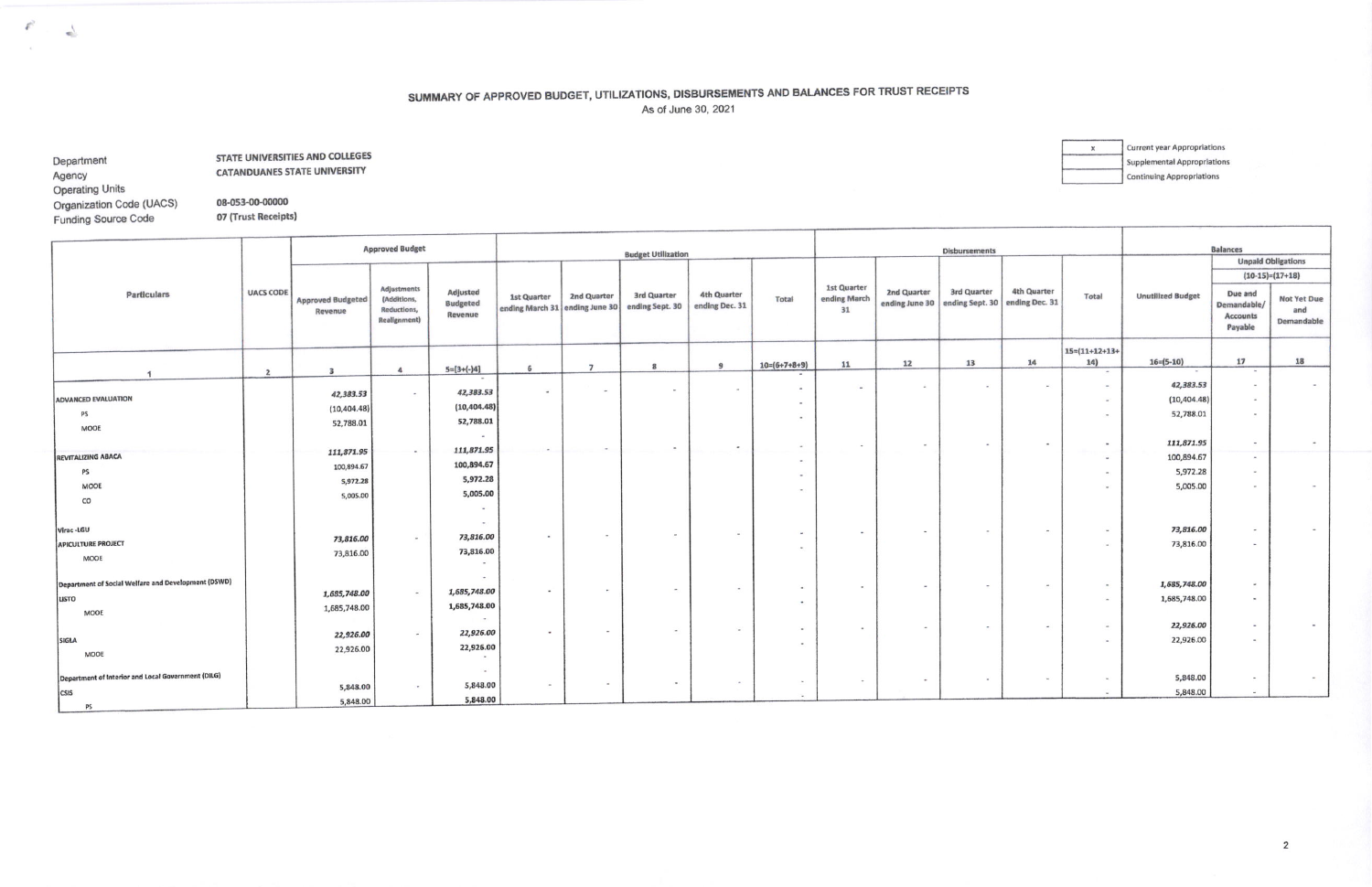## SUMMARY OF APPROVED BUDGET, UTILIZATIONS, DISBURSEMENTS AND BALANCES FOR TRUST RECEIPTS As of June 30, 2021

Department Agency **Operating Units** 

 $\mathcal{E}^2$ 

 $\Delta$ 

**STATE UNIVERSITIES AND COLLEGES CATANDUANES STATE UNIVERSITY** 

**Current year Appropriations**  $\,$   $\,$   $\,$ **Supplemental Appropriations Continuing Appropriations** 

Organization Code (UACS) 08-053-00-00000 Funding Source Code 07 (Trust Receipts)

|                                                     |                  |                                     | <b>Approved Budget</b>                                           |                                        |                                                      |                          | <b>Budget Utilization</b>      |                                      |                          |                                          |             | <b>Disbursements</b>                                         |                          |                              |                          | <b>Balances</b>                                      |                                         |
|-----------------------------------------------------|------------------|-------------------------------------|------------------------------------------------------------------|----------------------------------------|------------------------------------------------------|--------------------------|--------------------------------|--------------------------------------|--------------------------|------------------------------------------|-------------|--------------------------------------------------------------|--------------------------|------------------------------|--------------------------|------------------------------------------------------|-----------------------------------------|
|                                                     |                  |                                     |                                                                  |                                        |                                                      |                          |                                |                                      |                          |                                          |             |                                                              |                          |                              |                          | $(10-15)=(17+18)$                                    | <b>Unpaid Obligations</b>               |
| Particulars                                         | <b>UACS CODE</b> | <b>Approved Budgeted</b><br>Revenue | <b>Adjustments</b><br>(Additions,<br>Reductions,<br>Realignment) | Adjusted<br>Budgeted<br><b>Revenue</b> | <b>1st Quarter</b><br>ending March 31 ending June 30 | 2nd Quarter              | 3rd Quarter<br>ending Sept. 30 | <b>4th Quarter</b><br>ending Dec. 31 | Total                    | <b>1st Quarter</b><br>ending March<br>31 | 2nd Quarter | 3rd Quarter<br>ending June 30 ending Sept. 30 ending Dec. 31 | <b>4th Quarter</b>       | Total                        | <b>Unutilized Budget</b> | Due and<br>Demandable/<br><b>Accounts</b><br>Payable | <b>Not Yet Due</b><br>and<br>Demandable |
|                                                     |                  |                                     |                                                                  |                                        |                                                      |                          |                                | 9                                    | $10=(6+7+8+9)$           | 11                                       | 12          | 13                                                           | 14                       | $15=(11+12+13+$<br>14)       | $16 = (5 - 10)$          | 17                                                   | 18                                      |
|                                                     | $\overline{2}$   | $\overline{\mathbf{3}}$             | $\ddot{a}$                                                       | $5=[3+(-)4]$                           | 6                                                    | $\overline{7}$           | $\mathbf{R}$                   |                                      |                          |                                          |             |                                                              |                          | $\overline{\phantom{a}}$     | $\,$                     | $\sim$                                               |                                         |
|                                                     |                  | 42,383.53                           | $\sim$                                                           | 42,383.53                              | $\overline{\phantom{a}}$                             | $\overline{a}$           | $\sim$                         | $\sim$                               | $\sim$                   | $\sim$                                   | $\sim$      | $\overline{\phantom{a}}$                                     | $\sim$                   | $\blacksquare$               | 42,383.53                | $\sim$                                               |                                         |
| <b>ADVANCED EVALUATION</b>                          |                  | (10, 404.48)                        |                                                                  | (10, 404.48)                           |                                                      |                          |                                |                                      | $\sim$                   |                                          |             |                                                              |                          | $\overline{\phantom{a}}$     | (10, 404.48)             | $\sim$                                               |                                         |
| <b>PS</b><br>MOOE                                   |                  | 52,788.01                           |                                                                  | 52,788.01<br>$\sim$                    |                                                      |                          |                                |                                      |                          |                                          |             |                                                              |                          | $\bullet$                    | 52,788.01                | $\sim$                                               |                                         |
|                                                     |                  |                                     | $\sim$                                                           | 111,871.95                             |                                                      |                          |                                |                                      |                          |                                          |             |                                                              |                          | $\sim$                       | 111,871.95               | $\sim$                                               |                                         |
| <b>REVITALIZING ABACA</b>                           |                  | 111,871.95<br>100,894.67            |                                                                  | 100,894.67                             |                                                      |                          |                                |                                      | $\sim$                   |                                          |             |                                                              |                          | $\blacksquare$               | 100,894.67               | $\sim$                                               |                                         |
| PS                                                  |                  | 5,972.28                            |                                                                  | 5,972.28                               |                                                      |                          |                                |                                      | $\sim$                   |                                          |             |                                                              |                          | $\sim$                       | 5,972.28                 | $\sim$                                               |                                         |
| MODE                                                |                  | 5,005.00                            |                                                                  | 5,005.00                               |                                                      |                          |                                |                                      |                          |                                          |             |                                                              |                          | $\overline{\phantom{a}}$     | 5,005.00                 | $\sim$                                               |                                         |
| CO                                                  |                  |                                     |                                                                  | $\sim$                                 |                                                      |                          |                                |                                      |                          |                                          |             |                                                              |                          |                              |                          |                                                      |                                         |
| Virac-LGU                                           |                  |                                     |                                                                  | $\langle\mathbf{w}\rangle$             |                                                      | $\sim$                   | $\overline{\phantom{a}}$       |                                      | $\sim$                   |                                          |             |                                                              |                          | $\bullet$                    | 73,816.00                | $\sim$                                               |                                         |
| <b>APICULTURE PROJECT</b>                           |                  | 73,816.00                           | $\rightarrow$                                                    | 73,816.00                              |                                                      |                          |                                |                                      | <b>CALL</b>              |                                          |             |                                                              |                          | $\sim$                       | 73,816.00                | $\sim$                                               |                                         |
| MODE                                                |                  | 73,816.00                           |                                                                  | 73,816.00<br>$\sim$                    |                                                      |                          |                                |                                      |                          |                                          |             |                                                              |                          |                              |                          |                                                      |                                         |
| Department of Social Welfare and Development (DSWD) |                  |                                     |                                                                  | $\sim$                                 |                                                      |                          | $\sim$                         | $\overline{\phantom{a}}$             | $\sim$                   | $\sim$                                   |             |                                                              |                          | $\qquad \qquad \blacksquare$ | 1,685,748.00             | $\sim$                                               |                                         |
| LISTO                                               |                  | 1,685,748.00                        | $\sim$                                                           | 1,685,748.00                           |                                                      | $\blacksquare$           |                                |                                      | $-2$                     |                                          |             |                                                              |                          | $\overline{\phantom{a}}$     | 1,685,748.00             | $\sim$                                               |                                         |
| MOOE                                                |                  | 1,685,748.00                        |                                                                  | 1,685,748.00<br>$\sim$                 |                                                      |                          |                                |                                      |                          |                                          |             |                                                              |                          |                              |                          |                                                      |                                         |
|                                                     |                  | 22,926.00                           | $\overline{\phantom{a}}$                                         | 22,926.00                              |                                                      | $\overline{\phantom{a}}$ | $\sim$                         |                                      | $\sim$                   |                                          |             |                                                              | $\overline{\phantom{a}}$ | $\overline{\phantom{a}}$     | 22,926.00                | $\overline{a}$                                       |                                         |
| SIGLA                                               |                  | 22,926.00                           |                                                                  | 22,926.00                              |                                                      |                          |                                |                                      | $\overline{\phantom{a}}$ |                                          |             |                                                              |                          | $\bullet$                    | 22,926.00                | $-1$                                                 |                                         |
| MOOE                                                |                  |                                     |                                                                  |                                        |                                                      |                          |                                |                                      |                          |                                          |             |                                                              |                          |                              |                          |                                                      |                                         |
| Department of Interior and Local Government (DILG)  |                  |                                     |                                                                  | $\sim$                                 |                                                      |                          |                                |                                      |                          |                                          |             | $\overline{\phantom{a}}$                                     | $\sim$                   | $\;$                         | 5,848.00                 | $\sim$                                               |                                         |
| <b>CSIS</b>                                         |                  | 5,848.00                            |                                                                  | 5,848.00                               |                                                      | $\;$                     | $\overline{\phantom{a}}$       |                                      | $-1000$                  |                                          |             |                                                              |                          | $\sim$                       | 5,848.00                 |                                                      |                                         |
| PS                                                  |                  | 5,848.00                            |                                                                  | 5,848.00                               |                                                      |                          |                                |                                      |                          |                                          |             |                                                              |                          |                              |                          |                                                      |                                         |